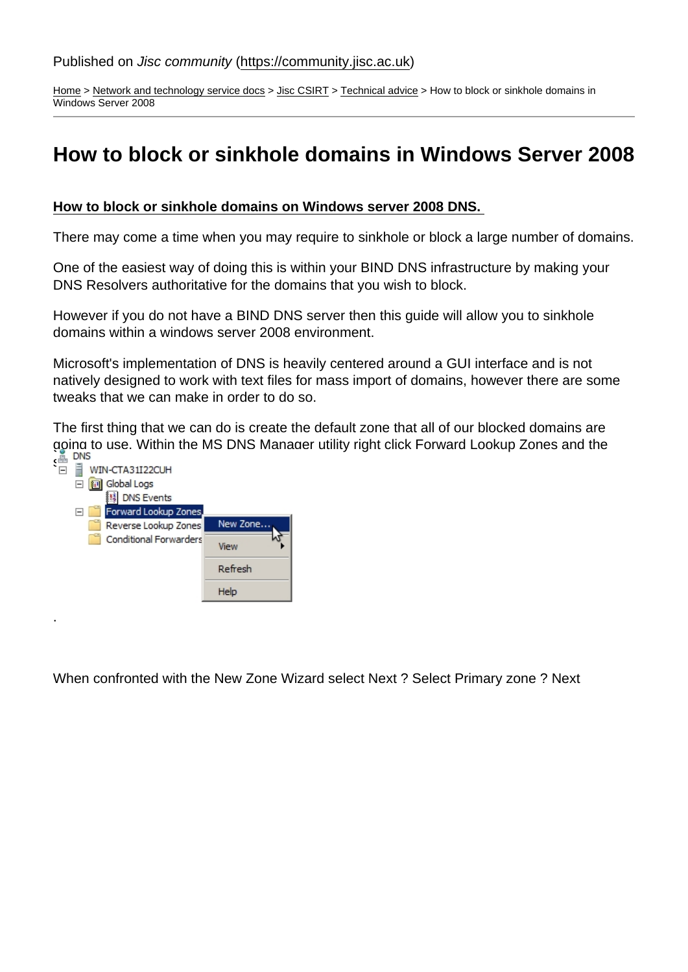[Home](https://community.jisc.ac.uk/) > [Network and technology service docs](https://community.jisc.ac.uk/library/janet-services-documentation) > [Jisc CSIRT](https://community.jisc.ac.uk/library/janet-services-documentation/janet-csirt) > [Technical advice](https://community.jisc.ac.uk/library/janet-services-documentation/technical-advice) > How to block or sinkhole domains in Windows Server 2008

## How to block or sinkhole domains in Windows Server 2008

How to block or sinkhole domains on Windows server 2008 DNS.

There may come a time when you may require to sinkhole or block a large number of domains.

One of the easiest way of doing this is within your BIND DNS infrastructure by making your DNS Resolvers authoritative for the domains that you wish to block.

However if you do not have a BIND DNS server then this guide will allow you to sinkhole domains within a windows server 2008 environment.

Microsoft's implementation of DNS is heavily centered around a GUI interface and is not natively designed to work with text files for mass import of domains, however there are some tweaks that we can make in order to do so.

The first thing that we can do is create the default zone that all of our blocked domains are going to use. Within the MS DNS Manager utility right click Forward Lookup Zones and the select New Zone

When confronted with the New Zone Wizard select Next ? Select Primary zone ? Next

.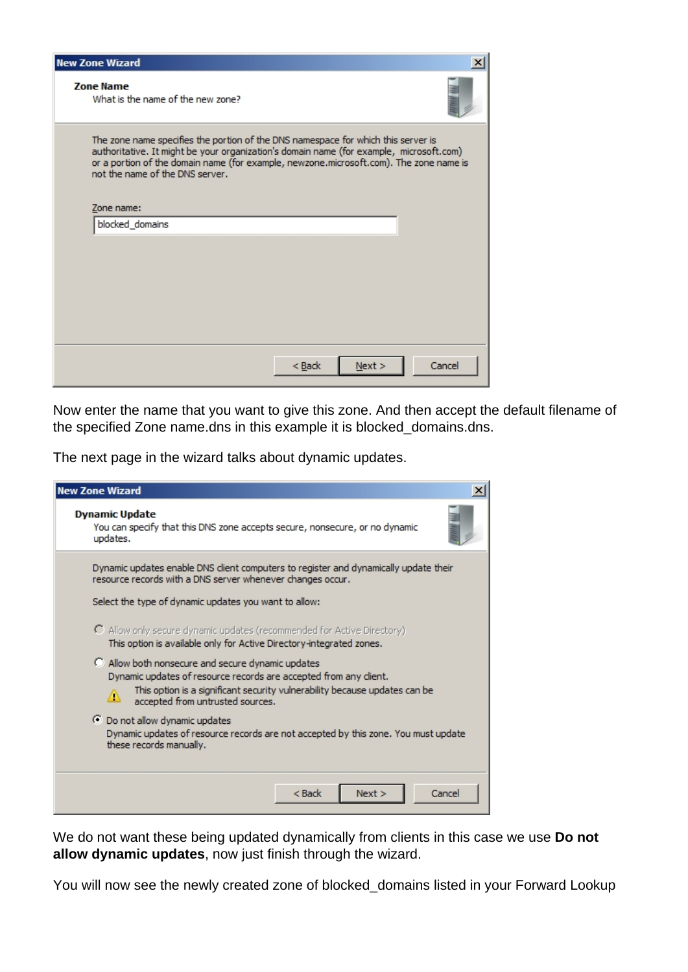| <b>New Zone Wizard</b>                                                                                               |                                                                                                                                                                                   |
|----------------------------------------------------------------------------------------------------------------------|-----------------------------------------------------------------------------------------------------------------------------------------------------------------------------------|
| <b>Zone Name</b><br>What is the name of the new zone?                                                                |                                                                                                                                                                                   |
| The zone name specifies the portion of the DNS namespace for which this server is<br>not the name of the DNS server. | authoritative. It might be your organization's domain name (for example, microsoft.com)<br>or a portion of the domain name (for example, newzone.microsoft.com). The zone name is |
| Zone name:                                                                                                           |                                                                                                                                                                                   |
| blocked_domains                                                                                                      |                                                                                                                                                                                   |
|                                                                                                                      |                                                                                                                                                                                   |
|                                                                                                                      |                                                                                                                                                                                   |
|                                                                                                                      |                                                                                                                                                                                   |
|                                                                                                                      |                                                                                                                                                                                   |
|                                                                                                                      |                                                                                                                                                                                   |
|                                                                                                                      |                                                                                                                                                                                   |
|                                                                                                                      | Cancel<br>$<$ Back<br>Next                                                                                                                                                        |

Now enter the name that you want to give this zone. And then accept the default filename of the specified Zone name.dns in this example it is blocked\_domains.dns.

The next page in the wizard talks about dynamic updates.

| <b>New Zone Wizard</b><br>×                                                                                                                                                                                                                          |
|------------------------------------------------------------------------------------------------------------------------------------------------------------------------------------------------------------------------------------------------------|
| <b>Dynamic Update</b><br>You can specify that this DNS zone accepts secure, nonsecure, or no dynamic<br>updates.                                                                                                                                     |
| Dynamic updates enable DNS client computers to register and dynamically update their<br>resource records with a DNS server whenever changes occur.                                                                                                   |
| Select the type of dynamic updates you want to allow:                                                                                                                                                                                                |
| O Allow only secure dynamic updates (recommended for Active Directory)<br>This option is available only for Active Directory-integrated zones.                                                                                                       |
| Allow both nonsecure and secure dynamic updates<br>Dynamic updates of resource records are accepted from any dient.<br>This option is a significant security vulnerability because updates can be<br>$\triangle$<br>accepted from untrusted sources. |
| ⊙ Do not allow dynamic updates<br>Dynamic updates of resource records are not accepted by this zone. You must update<br>these records manually.                                                                                                      |
| $<$ Back<br>Next ><br>Cancel                                                                                                                                                                                                                         |

We do not want these being updated dynamically from clients in this case we use **Do not allow dynamic updates**, now just finish through the wizard.

You will now see the newly created zone of blocked\_domains listed in your Forward Lookup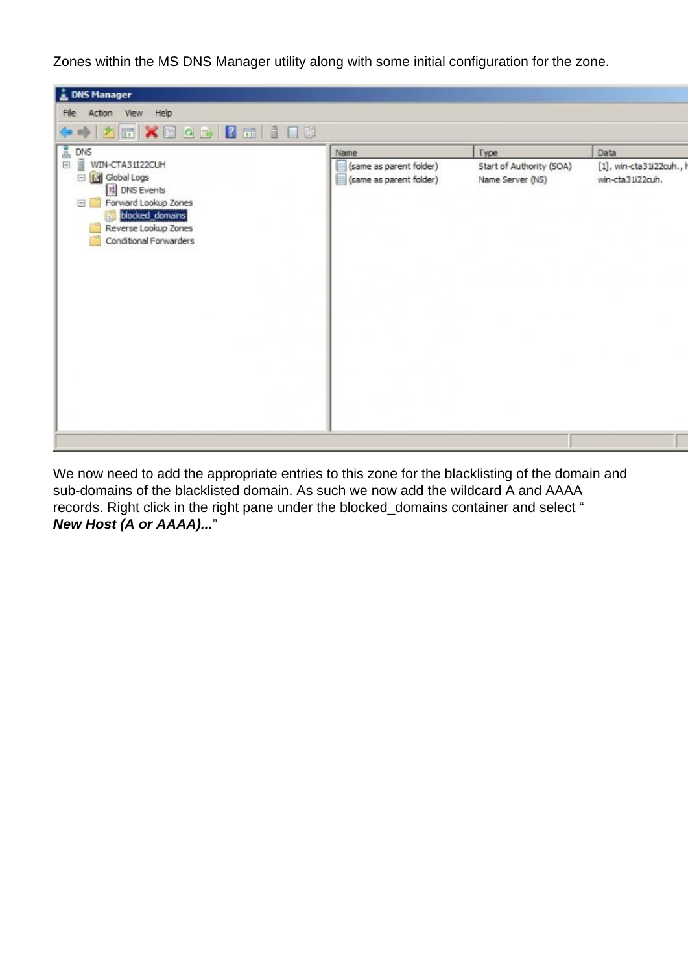Zones within the MS DNS Manager utility along with some initial configuration for the zone.



We now need to add the appropriate entries to this zone for the blacklisting of the domain and sub-domains of the blacklisted domain. As such we now add the wildcard A and AAAA records. Right click in the right pane under the blocked\_domains container and select " **New Host (A or AAAA)...**"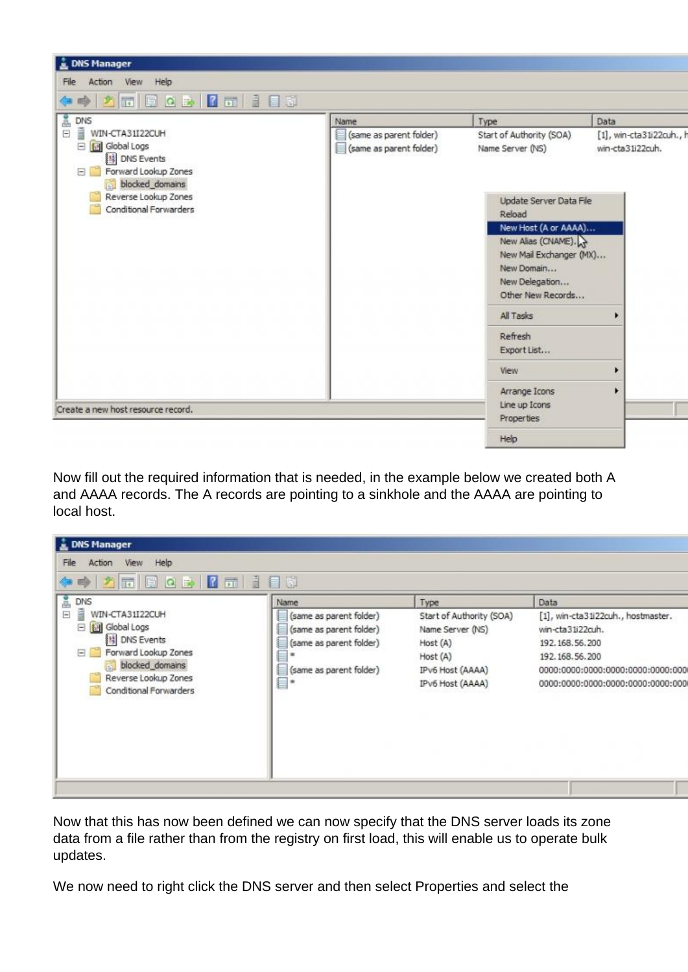

Now fill out the required information that is needed, in the example below we created both A and AAAA records. The A records are pointing to a sinkhole and the AAAA are pointing to local host.

| <b>A. DNS Manager</b><br>Help<br>View<br>File<br>Action<br>O ZEBOD ZE IEN                                                                                                                                                       |                                                                                                                                 |                                                                                                                      |                                                                                                                                                                              |
|---------------------------------------------------------------------------------------------------------------------------------------------------------------------------------------------------------------------------------|---------------------------------------------------------------------------------------------------------------------------------|----------------------------------------------------------------------------------------------------------------------|------------------------------------------------------------------------------------------------------------------------------------------------------------------------------|
| $\begin{array}{c}\n\text{DNS} \\ \hline\n\end{array}$<br>Ă<br>$\Box$<br>WIN-CTA31I22CUH<br>Global Logs<br>E<br><b>B</b> DNS Events<br>Forward Lookup Zones<br>blocked_domains<br>Reverse Lookup Zones<br>Conditional Forwarders | Name<br>(same as parent folder)<br>(same as parent folder)<br>(same as parent folder)<br>再<br>(same as parent folder)<br>u<br>۰ | Type<br>Start of Authority (SOA)<br>Name Server (NS)<br>Host (A)<br>Host (A)<br>IPv6 Host (AAAA)<br>IPv6 Host (AAAA) | Data<br>[1], win-cta31i22cuh., hostmaster.<br>win-cta31i22cuh.<br>192.168.56.200<br>192.168.56.200<br>0000:0000:0000:0000:0000:0000:000<br>0000:0000:0000:0000:0000:0000:000 |
|                                                                                                                                                                                                                                 |                                                                                                                                 |                                                                                                                      |                                                                                                                                                                              |

Now that this has now been defined we can now specify that the DNS server loads its zone data from a file rather than from the registry on first load, this will enable us to operate bulk updates.

We now need to right click the DNS server and then select Properties and select the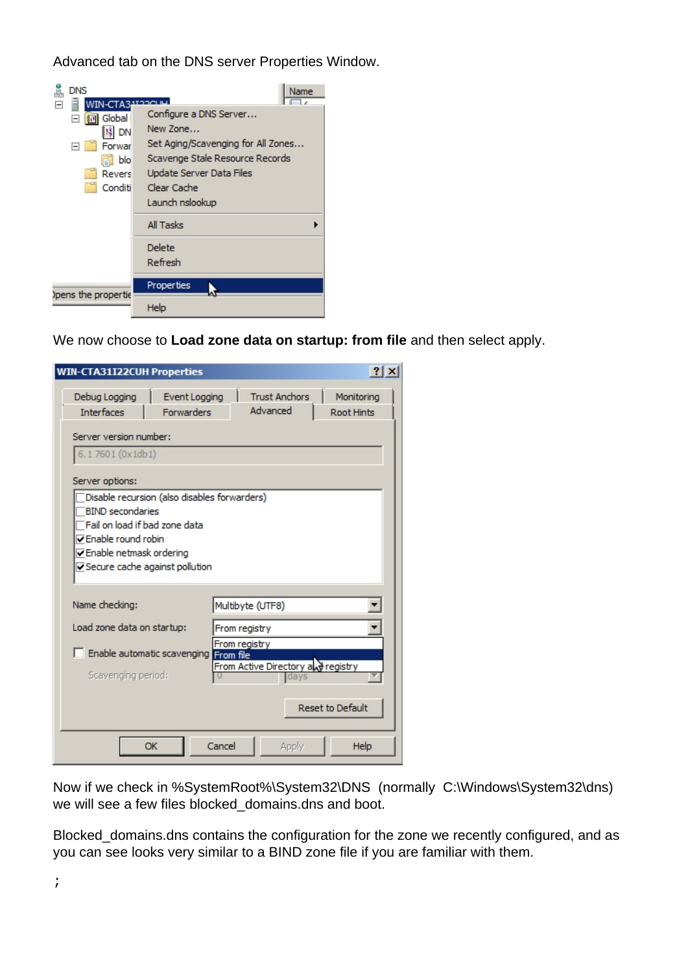Advanced tab on the DNS server Properties Window.

| <b>DNS</b><br>WIN-CTA3 | Name<br>שומכנזו                    |
|------------------------|------------------------------------|
| Global<br>$\boxminus$  | Configure a DNS Server             |
| 鬘<br>DN                | New Zone                           |
| Forwar                 | Set Aging/Scavenging for All Zones |
| blo                    | Scavenge Stale Resource Records    |
| Revers                 | Update Server Data Files           |
| Conditi                | Clear Cache                        |
|                        | Launch nslookup                    |
|                        | All Tasks                          |
|                        | Delete                             |
|                        | Refresh                            |
| opens the propertie    | Properties                         |
|                        | Help                               |

We now choose to **Load zone data on startup: from file** and then select apply.

| WIN-CTA31I22CUH Properties                                                                                                                                                                       |                                              |                                                     | $\left  \cdot \right $   |
|--------------------------------------------------------------------------------------------------------------------------------------------------------------------------------------------------|----------------------------------------------|-----------------------------------------------------|--------------------------|
| Debug Logging<br><b>Interfaces</b>                                                                                                                                                               | Event Logging<br><b>Forwarders</b>           | <b>Trust Anchors</b><br>Advanced                    | Monitoring<br>Root Hints |
| Server version number:<br>6.17601 (0x1db1)                                                                                                                                                       |                                              |                                                     |                          |
| Server options:<br><b>BIND</b> secondaries<br>Fail on load if bad zone data<br>$\nabla$ Enable round robin<br>$\overline{\mathsf{v}}$ Enable netmask ordering<br>⊽Secure cache against pollution | Disable recursion (also disables forwarders) |                                                     |                          |
| Name checking:                                                                                                                                                                                   |                                              | Multibyte (UTF8)                                    |                          |
| Load zone data on startup:                                                                                                                                                                       |                                              | From registry                                       |                          |
| Scavenging period:                                                                                                                                                                               | Enable automatic scavenging From file        | From registry<br>From Active Directory and registry |                          |
|                                                                                                                                                                                                  |                                              |                                                     | <b>Reset to Default</b>  |
|                                                                                                                                                                                                  | Cancel<br>OK                                 | Apply                                               | Help                     |

Now if we check in %SystemRoot%\System32\DNS (normally C:\Windows\System32\dns) we will see a few files blocked\_domains.dns and boot.

Blocked\_domains.dns contains the configuration for the zone we recently configured, and as you can see looks very similar to a BIND zone file if you are familiar with them.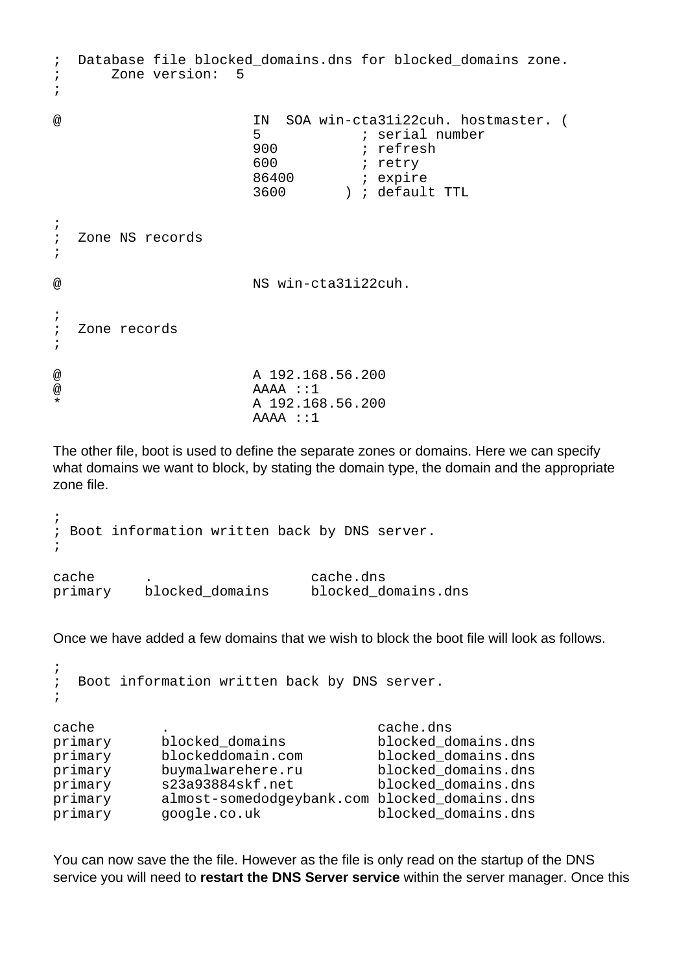; Database file blocked\_domains.dns for blocked\_domains zone. ; Zone version: 5 ; @ IN SOA win-cta31i22cuh. hostmaster. ( 5 ; serial number 900 ; refresh ; retry 86400 ; expire 3600 ) ; default TTL ;<br>; Zone NS records ; @ NS win-cta31i22cuh. ; ; Zone records ; @ A 192.168.56.200  $@$  AAAA ::1 \* A 192.168.56.200 AAAA ::1

The other file, boot is used to define the separate zones or domains. Here we can specify what domains we want to block, by stating the domain type, the domain and the appropriate zone file.

```
;
; Boot information written back by DNS server.
;
cache      .<br>primary    blocked domains     blocked d
primary blocked_domains blocked_domains.dns
```
Once we have added a few domains that we wish to block the boot file will look as follows.

```
;
; Boot information written back by DNS server.
;
cache . cache.dns
primary blocked_domains blocked_domains.dns
primary blockeddomain.com blocked_domains.dns
primary buymalwarehere.ru blocked_domains.dns
primary s23a93884skf.net blocked_domains.dns
primary almost-somedodgeybank.com blocked_domains.dns
primary google.co.uk blocked_domains.dns
```
You can now save the the file. However as the file is only read on the startup of the DNS service you will need to **restart the DNS Server service** within the server manager. Once this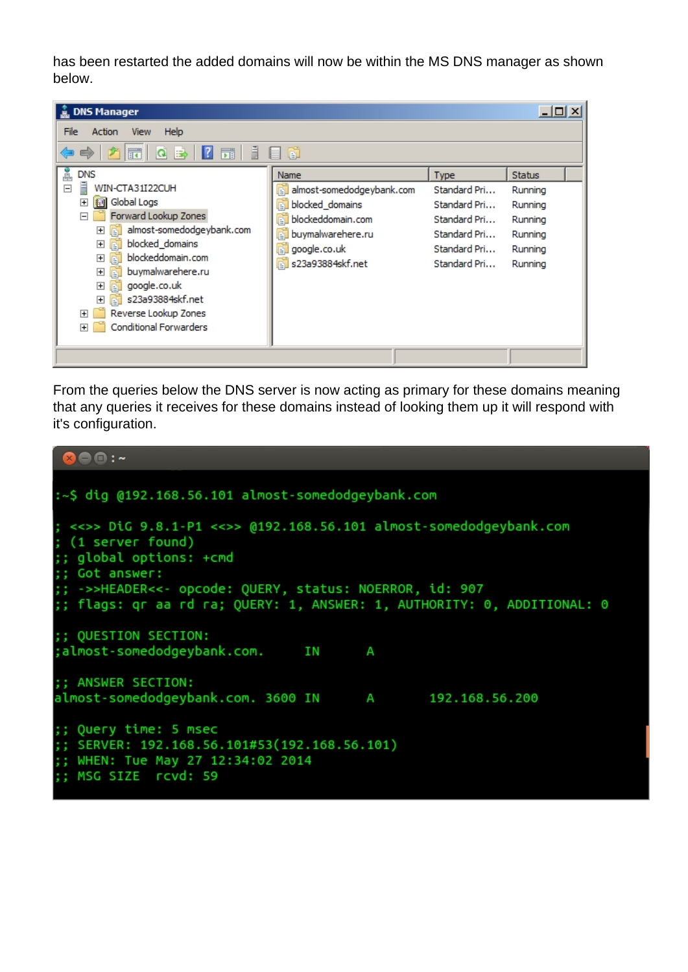has been restarted the added domains will now be within the MS DNS manager as shown below.

| <b>DNS Manager</b>                                                                                                                                                                                                                                                                                                                                                                                                                                                                                                        |                                                                                                                                                                   |                                                                                                      | $\Box$ $\Box$ $\times$                                                          |  |
|---------------------------------------------------------------------------------------------------------------------------------------------------------------------------------------------------------------------------------------------------------------------------------------------------------------------------------------------------------------------------------------------------------------------------------------------------------------------------------------------------------------------------|-------------------------------------------------------------------------------------------------------------------------------------------------------------------|------------------------------------------------------------------------------------------------------|---------------------------------------------------------------------------------|--|
| Help<br>File<br>View<br>Action<br>$\mathbf{E}$<br>屙<br>嗣<br>Ħ<br>Q<br>参<br>Ă<br><b>DNS</b><br>Ē<br>$\Box$<br>WIN-CTA31I22CUH<br>Global Logs<br>田<br>絅<br>Forward Lookup Zones<br>F<br>almost-somedodgeybank.com<br>$\overline{+}$<br>blocked_domains<br>$\overline{+}$<br>画<br>blockeddomain.com<br>$\overline{+}$<br>buymalwarehere.ru<br>$\overline{+}$<br>google.co.uk<br>$\overline{+}$<br>曺<br>s23a93884skf.net<br>$\overline{+}$<br>$\mathbb{F}$<br>Reverse Lookup Zones<br>曱<br><b>Conditional Forwarders</b><br>曱 | 同<br>目<br>Name<br>almost-somedodgeybank.com<br>ň<br>blocked_domains<br>ď<br>blockeddomain.com<br>èĬ<br>buymalwarehere.ru<br>đ<br>google.co.uk<br>s23a93884skf.net | Type<br>Standard Pri<br>Standard Pri<br>Standard Pri<br>Standard Pri<br>Standard Pri<br>Standard Pri | <b>Status</b><br>Running<br>Running<br>Running<br>Running<br>Running<br>Running |  |
|                                                                                                                                                                                                                                                                                                                                                                                                                                                                                                                           |                                                                                                                                                                   |                                                                                                      |                                                                                 |  |

From the queries below the DNS server is now acting as primary for these domains meaning that any queries it receives for these domains instead of looking them up it will respond with it's configuration.

```
888:-
:~$ dig @192.168.56.101 almost-somedodgeybank.com
; <<>> DiG 9.8.1-P1 <<>> @192.168.56.101 almost-somedodgeybank.com
; (1 server found)
;; global options: +cmd
 ; Got answer:
;; ->>HEADER<<- opcode: QUERY, status: NOERROR, id: 907
;; flags: qr aa rd ra; QUERY: 1, ANSWER: 1, AUTHORITY: 0, ADDITIONAL: 0
;; QUESTION SECTION:
;almost-somedodgeybank.com.
                                           ΙN
                                                       Α
;; ANSWER SECTION:
almost-somedodgeybank.com. 3600 IN
                                                                192.168.56.200
                                                      A and a set of the set of the set of the set of the set of the set of the set of the set of the set of the set of the set of the set of the set of the set of the set of the set of the set of the set of the set of the set o
;; Query time: 5 msec
;; SERVER: 192.168.56.101#53(192.168.56.101)
;; WHEN: Tue May 27 12:34:02 2014
;; MSG SIZE rcvd: 59
```